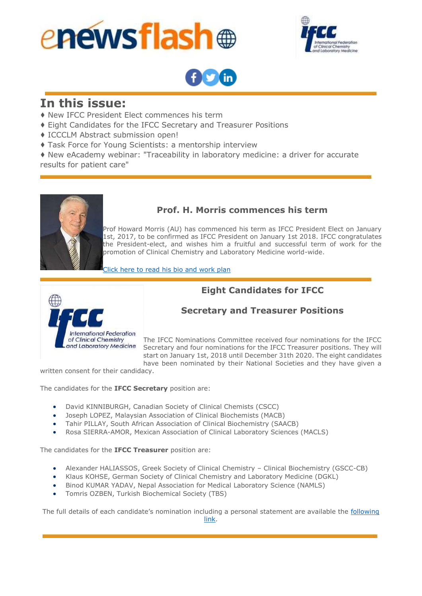





# **In this issue:**

- ♦ New IFCC President Elect commences his term
- ♦ Eight Candidates for the IFCC Secretary and Treasurer Positions
- ♦ ICCCLM Abstract submission open!
- ♦ Task Force for Young Scientists: a mentorship interview

♦ New eAcademy webinar: "Traceability in laboratory medicine: a driver for accurate results for patient care"



### **Prof. H. Morris commences his term**

Prof Howard Morris (AU) has commenced his term as IFCC President Elect on January 1st, 2017, to be confirmed as IFCC President on January 1st 2018. IFCC congratulates the President-elect, and wishes him a fruitful and successful term of work for the promotion of Clinical Chemistry and Laboratory Medicine world-wide.

[Click here to read his bio and work plan](http://ifcc.musvc2.net/e/t?q=4%3dSfKaV%26J%3dD%26E%3dQb%262%3dRO%26S%3duKFN_5rox_F2_Dyfq_ND_5rox_E7IU0.02Ap.FDE_5rox_E71Vr4GRvM1-022DB-nEz-A2L0AvC_Dyfq_NDrO1A8K5Tr-2w9n3A955_Dyfq_NDr3-xG2J-4M02DB-zFDPvJ_Dyfq_ND%26q%3dDGQ94N.LrK)

# **Eight Candidates for IFCC**



## **Secretary and Treasurer Positions**

The IFCC Nominations Committee received four nominations for the IFCC Secretary and four nominations for the IFCC Treasurer positions. They will start on January 1st, 2018 until December 31th 2020. The eight candidates have been nominated by their National Societies and they have given a

written consent for their candidacy.

The candidates for the **IFCC Secretary** position are:

- David KINNIBURGH, Canadian Society of Clinical Chemists (CSCC)
- Joseph LOPEZ, Malaysian Association of Clinical Biochemists (MACB)
- Tahir PILLAY, South African Association of Clinical Biochemistry (SAACB)
- Rosa SIERRA-AMOR, Mexican Association of Clinical Laboratory Sciences (MACLS)

The candidates for the **IFCC Treasurer** position are:

- Alexander HALIASSOS, Greek Society of Clinical Chemistry Clinical Biochemistry (GSCC-CB)
- Klaus KOHSE, German Society of Clinical Chemistry and Laboratory Medicine (DGKL)
- Binod KUMAR YADAV, Nepal Association for Medical Laboratory Science (NAMLS)
- Tomris OZBEN, Turkish Biochemical Society (TBS)

The full details of each candidate's nomination including a personal statement are available the following [link.](http://ifcc.musvc2.net/e/t?q=9%3dQe0fT%26I%3d3%26J%3dOa%26q%3dWM%26R%3djPDM_twmw_57_BxUv_LC_twmw_4BGTy.Ez0e.KBD_twmw_4B7BfEu_OSyj_YhZNaAZO_OSyj_YhoZjE_yy0tAD8tU_nOg7u8c7CRtAB_Pn7DB_qB_w8p03AcPyP_4fKe_4fLg_dK9HnAD.MfB%26x%3dJwOF04.JyQ)